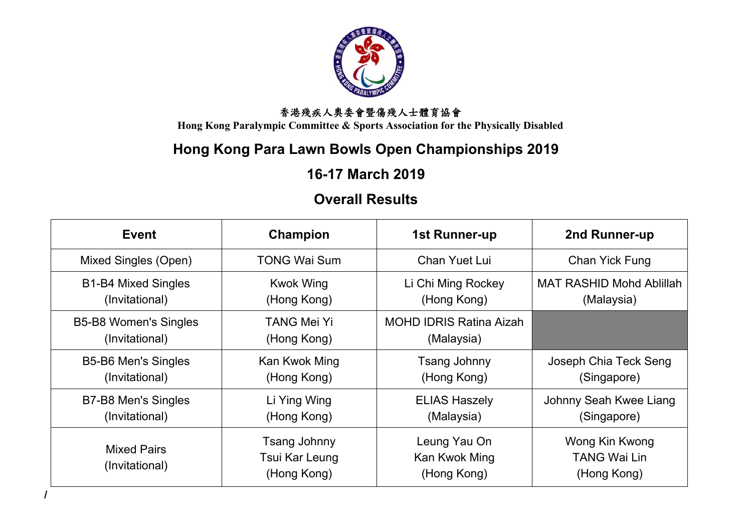

**Hong Kong Paralympic Committee & Sports Association for the Physically Disabled**

# **Hong Kong Para Lawn Bowls Open Championships 2019**

# **16-17 March 2019**

# **Overall Results**

| Event                                                                           | Champion                                      | 1st Runner-up                                | 2nd Runner-up                                        |
|---------------------------------------------------------------------------------|-----------------------------------------------|----------------------------------------------|------------------------------------------------------|
| Mixed Singles (Open)                                                            | <b>TONG Wai Sum</b>                           | Chan Yuet Lui                                | Chan Yick Fung                                       |
| <b>B1-B4 Mixed Singles</b><br><b>Kwok Wing</b><br>(Hong Kong)<br>(Invitational) |                                               | Li Chi Ming Rockey<br>(Hong Kong)            | <b>MAT RASHID Mohd Ablillah</b><br>(Malaysia)        |
| <b>B5-B8 Women's Singles</b><br>(Invitational)                                  | <b>TANG Mei Yi</b><br>(Hong Kong)             | <b>MOHD IDRIS Ratina Aizah</b><br>(Malaysia) |                                                      |
| <b>B5-B6 Men's Singles</b><br>(Invitational)                                    | Kan Kwok Ming<br>(Hong Kong)                  | Tsang Johnny<br>(Hong Kong)                  | Joseph Chia Teck Seng<br>(Singapore)                 |
| B7-B8 Men's Singles<br>(Invitational)                                           | Li Ying Wing<br>(Hong Kong)                   | <b>ELIAS Haszely</b><br>(Malaysia)           | Johnny Seah Kwee Liang<br>(Singapore)                |
| <b>Mixed Pairs</b><br>(Invitational)                                            | Tsang Johnny<br>Tsui Kar Leung<br>(Hong Kong) | Leung Yau On<br>Kan Kwok Ming<br>(Hong Kong) | Wong Kin Kwong<br><b>TANG Wai Lin</b><br>(Hong Kong) |

**/**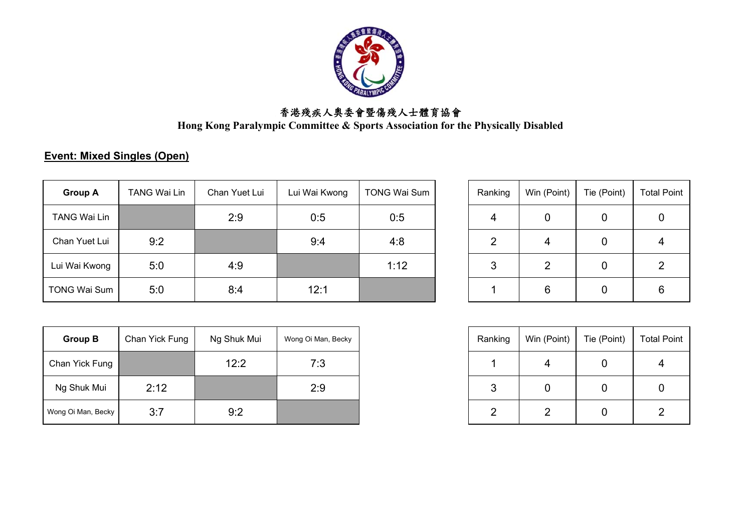

**Hong Kong Paralympic Committee & Sports Association for the Physically Disabled**

### **Event: Mixed Singles (Open)**

| <b>Group A</b>      | <b>TANG Wai Lin</b> | Chan Yuet Lui | Lui Wai Kwong | <b>TONG Wai Sum</b> | Ranking | Win (Point) | Tie (Point) | <b>Total Point</b> |
|---------------------|---------------------|---------------|---------------|---------------------|---------|-------------|-------------|--------------------|
| <b>TANG Wai Lin</b> |                     | 2:9           | 0:5           | 0:5                 | 4       |             | 0           | Ü                  |
| Chan Yuet Lui       | 9:2                 |               | 9:4           | 4:8                 | ◠       | 4           | 0           |                    |
| Lui Wai Kwong       | 5:0                 | 4:9           |               | 1:12                | 3       |             |             |                    |
| <b>TONG Wai Sum</b> | 5:0                 | 8:4           | 12:1          |                     |         | 6           | 0           | 6                  |

| <b>Group B</b>     | Chan Yick Fung | Ng Shuk Mui | Wong Oi Man, Becky |
|--------------------|----------------|-------------|--------------------|
| Chan Yick Fung     |                | 12:2        | 7:3                |
| Ng Shuk Mui        | 2:12           |             | 2:9                |
| Wong Oi Man, Becky | 3:7            | 9:2         |                    |

| Ranking        | Win (Point) | Tie (Point) | <b>Total Point</b> |
|----------------|-------------|-------------|--------------------|
|                |             |             |                    |
| $\overline{2}$ |             |             |                    |
| 3              | 2           |             | 2                  |
|                |             |             |                    |

| Ranking | Win (Point) | Tie (Point) |  |
|---------|-------------|-------------|--|
|         |             |             |  |
| 3       |             |             |  |
|         |             |             |  |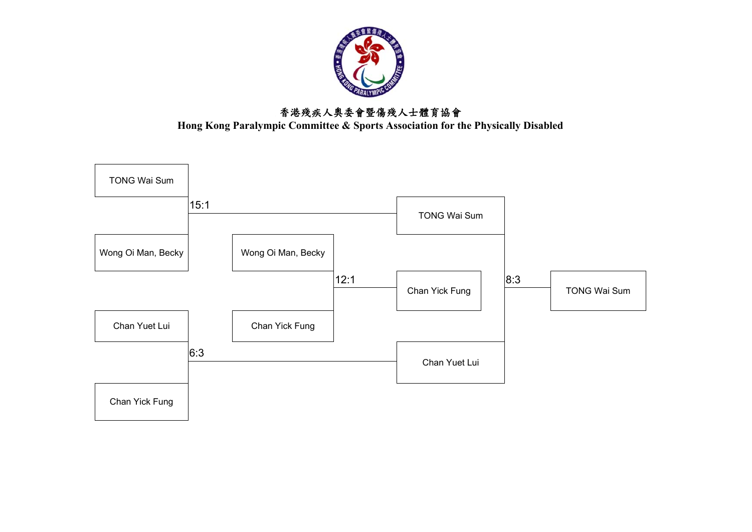

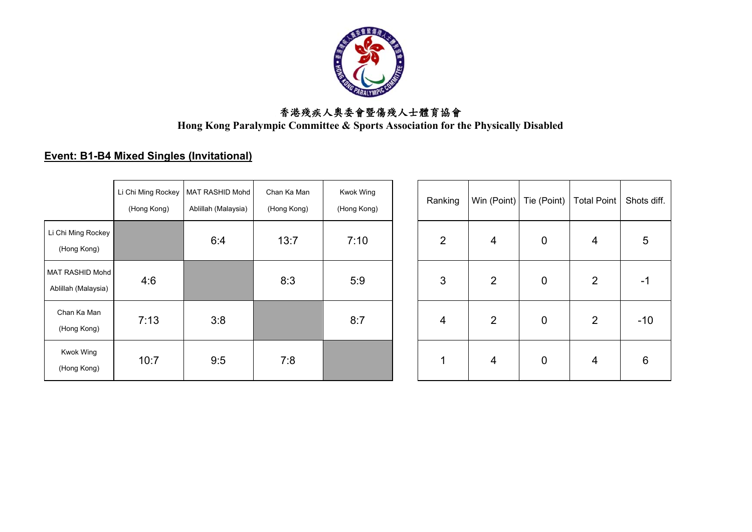

**Hong Kong Paralympic Committee & Sports Association for the Physically Disabled**

### **Event: B1-B4 Mixed Singles (Invitational)**

|                                        | Li Chi Ming Rockey<br>(Hong Kong) | MAT RASHID Mohd<br>Ablillah (Malaysia) | Chan Ka Man<br>(Hong Kong) | Kwok Wing<br>(Hong Kong) | Ranking        | Win (Point)    | Tie (Point) | <b>Total Point</b> | Shots d |
|----------------------------------------|-----------------------------------|----------------------------------------|----------------------------|--------------------------|----------------|----------------|-------------|--------------------|---------|
| Li Chi Ming Rockey<br>(Hong Kong)      |                                   | 6:4                                    | 13:7                       | 7:10                     | 2              | $\overline{4}$ | 0           | 4                  | 5       |
| MAT RASHID Mohd<br>Ablillah (Malaysia) | 4:6                               |                                        | 8:3                        | 5:9                      | 3              | $\overline{2}$ | 0           | $\overline{2}$     | $-1$    |
| Chan Ka Man<br>(Hong Kong)             | 7:13                              | 3:8                                    |                            | 8:7                      | $\overline{4}$ | $\overline{2}$ | 0           | $\overline{2}$     | $-10$   |
| Kwok Wing<br>(Hong Kong)               | 10:7                              | 9:5                                    | 7:8                        |                          | ◢              | $\overline{4}$ | $\mathbf 0$ | $\overline{4}$     | 6       |

| ockey<br>ng) | MAT RASHID Mohd<br>Ablillah (Malaysia) | Chan Ka Man<br>(Hong Kong) | <b>Kwok Wing</b><br>(Hong Kong) | Ranking        | Win (Point)    | Tie (Point)      | <b>Total Point</b> | Shots diff.     |
|--------------|----------------------------------------|----------------------------|---------------------------------|----------------|----------------|------------------|--------------------|-----------------|
|              | 6:4                                    | 13:7                       | 7:10                            | $\overline{2}$ | $\overline{4}$ | $\boldsymbol{0}$ | 4                  | 5               |
|              |                                        | 8:3                        | 5:9                             | 3              | $\overline{2}$ | $\pmb{0}$        | $\overline{2}$     | -1              |
|              | 3:8                                    |                            | 8:7                             | $\overline{4}$ | $\overline{2}$ | $\boldsymbol{0}$ | $\overline{2}$     | $-10$           |
|              | 9:5                                    | 7:8                        |                                 | 1              | $\overline{4}$ | $\pmb{0}$        | 4                  | $6\phantom{1}6$ |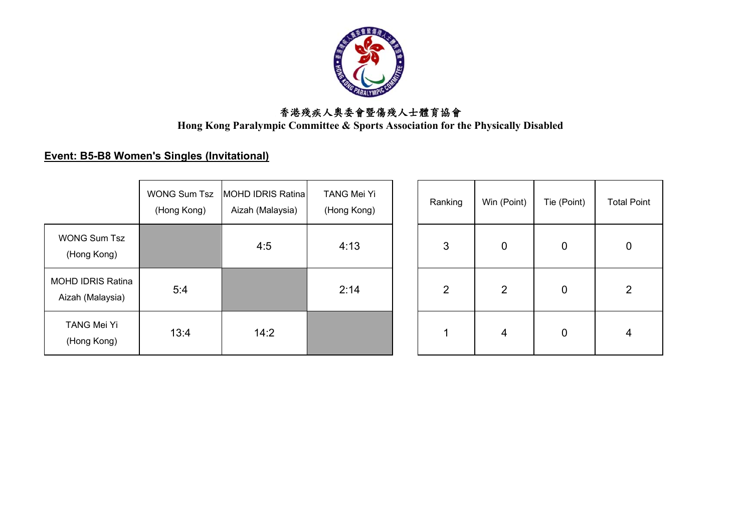

**Hong Kong Paralympic Committee & Sports Association for the Physically Disabled**

#### **Event: B5-B8 Women's Singles (Invitational)**

|                                              | <b>WONG Sum Tsz</b><br>(Hong Kong) | IMOHD IDRIS Ratina<br>Aizah (Malaysia) | <b>TANG Mei Yi</b><br>(Hong Kong) |
|----------------------------------------------|------------------------------------|----------------------------------------|-----------------------------------|
| <b>WONG Sum Tsz</b><br>(Hong Kong)           |                                    | 4:5                                    | 4:13                              |
| <b>MOHD IDRIS Ratina</b><br>Aizah (Malaysia) | 5:4                                |                                        | 2:14                              |
| <b>TANG Mei Yi</b><br>(Hong Kong)            | 13:4                               | 14:2                                   |                                   |

| G Sum Tsz<br>ng Kong) | MOHD IDRIS Ratina<br>Aizah (Malaysia) | TANG Mei Yi<br>(Hong Kong) | Ranking | Win (Point)      | Tie (Point) | <b>Total Point</b> |  |
|-----------------------|---------------------------------------|----------------------------|---------|------------------|-------------|--------------------|--|
|                       | 4:5                                   | 4:13                       | 3       | $\boldsymbol{0}$ | $\mathbf 0$ | $\boldsymbol{0}$   |  |
| 5:4                   |                                       | 2:14                       | 2       | $\overline{2}$   | 0           | $\overline{2}$     |  |
| 13:4                  | 14:2                                  |                            |         | 4                | $\mathbf 0$ | $\overline{4}$     |  |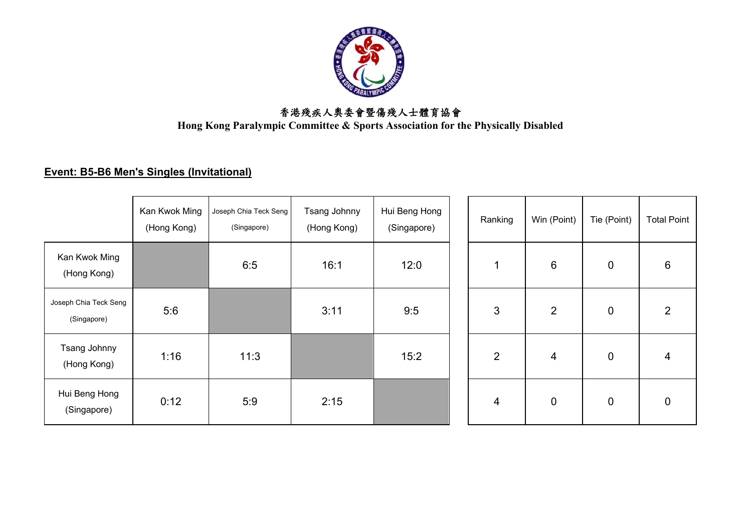

**Hong Kong Paralympic Committee & Sports Association for the Physically Disabled**

#### **Event: B5-B6 Men's Singles (Invitational)**

|                                      | Kan Kwok Ming<br>(Hong Kong) | Joseph Chia Teck Seng<br>(Singapore) | Tsang Johnny<br>(Hong Kong) | Hui Beng Hong<br>(Singapore) | Ranking        | Win (Point)    | Tie (Point)      | <b>Total Point</b> |
|--------------------------------------|------------------------------|--------------------------------------|-----------------------------|------------------------------|----------------|----------------|------------------|--------------------|
| Kan Kwok Ming<br>(Hong Kong)         |                              | 6:5                                  | 16:1                        | 12:0                         |                | $6\,$          | $\overline{0}$   | 6                  |
| Joseph Chia Teck Seng<br>(Singapore) | 5:6                          |                                      | 3:11                        | 9:5                          | 3              | $\overline{2}$ | $\boldsymbol{0}$ | $\overline{2}$     |
| Tsang Johnny<br>(Hong Kong)          | 1:16                         | 11:3                                 |                             | 15:2                         | $\overline{2}$ | 4              | $\mathbf 0$      | $\overline{4}$     |
| Hui Beng Hong<br>(Singapore)         | 0:12                         | 5:9                                  | 2:15                        |                              | $\overline{4}$ | $\pmb{0}$      | $\overline{0}$   | $\mathbf 0$        |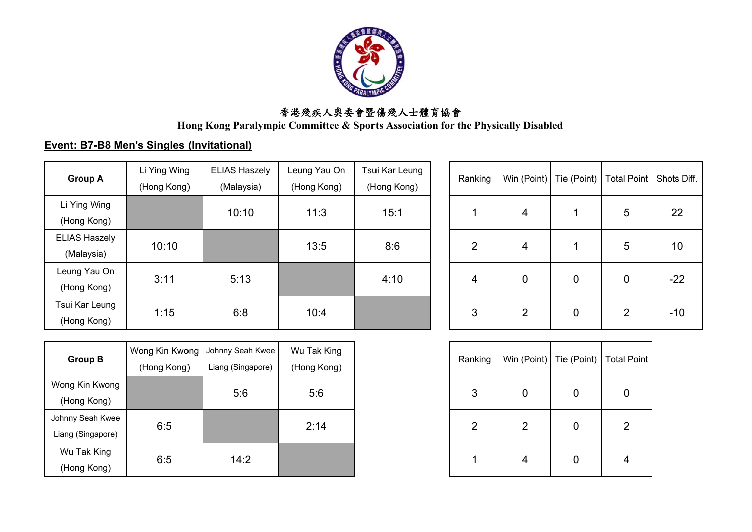

**Hong Kong Paralympic Committee & Sports Association for the Physically Disabled**

#### **Event: B7-B8 Men's Singles (Invitational)**

| <b>Group A</b>                     | Li Ying Wing<br>(Hong Kong) | <b>ELIAS Haszely</b><br>(Malaysia) | Leung Yau On<br>(Hong Kong) | Tsui Kar Leung<br>(Hong Kong) | Ranking        | Win (Point)    | Tie (Point) | Total Point    | Shots Diff. |
|------------------------------------|-----------------------------|------------------------------------|-----------------------------|-------------------------------|----------------|----------------|-------------|----------------|-------------|
| Li Ying Wing<br>(Hong Kong)        |                             | 10:10                              | 11:3                        | 15:1                          |                | 4              |             | 5              | 22          |
| <b>ELIAS Haszely</b><br>(Malaysia) | 10:10                       |                                    | 13:5                        | 8:6                           | $\overline{2}$ | 4              |             | 5              | 10          |
| Leung Yau On<br>(Hong Kong)        | 3:11                        | 5:13                               |                             | 4:10                          | 4              | $\mathbf 0$    | $\mathbf 0$ | 0              | $-22$       |
| Tsui Kar Leung<br>(Hong Kong)      | 1:15                        | 6:8                                | 10:4                        |                               | 3              | $\overline{2}$ | 0           | $\overline{2}$ | $-10$       |

| Ranking | Win (Point)   Tie (Point) |   | Total Point | Shots Diff. |
|---------|---------------------------|---|-------------|-------------|
|         | 4                         |   | 5           | 22          |
| 2       | 4                         |   | $\sqrt{5}$  | 10          |
| 4       | 0                         | 0 | 0           | $-22$       |
| 3       | $\overline{2}$            |   | 2           | $-10$       |

| <b>Group B</b>                        | Wong Kin Kwong<br>(Hong Kong) | Johnny Seah Kwee<br>Liang (Singapore) | Wu Tak King<br>(Hong Kong) |
|---------------------------------------|-------------------------------|---------------------------------------|----------------------------|
| Wong Kin Kwong<br>(Hong Kong)         |                               | 5:6                                   | 5:6                        |
| Johnny Seah Kwee<br>Liang (Singapore) | 6:5                           |                                       | 2:14                       |
| Wu Tak King<br>(Hong Kong)            | 6:5                           | 14:2                                  |                            |

| wong) | Johnny Seah Kwee  | Wu Tak King | Ranking        | Win (Point) Tie (Point) |   | Total Point    |
|-------|-------------------|-------------|----------------|-------------------------|---|----------------|
| ng)   | Liang (Singapore) | (Hong Kong) |                |                         |   |                |
|       | 5:6               | 5:6         | 3              | 0                       | 0 | 0              |
|       |                   | 2:14        | $\overline{2}$ | 2                       | 0 | $\overline{2}$ |
|       | 14:2              |             |                | 4                       | 0 | 4              |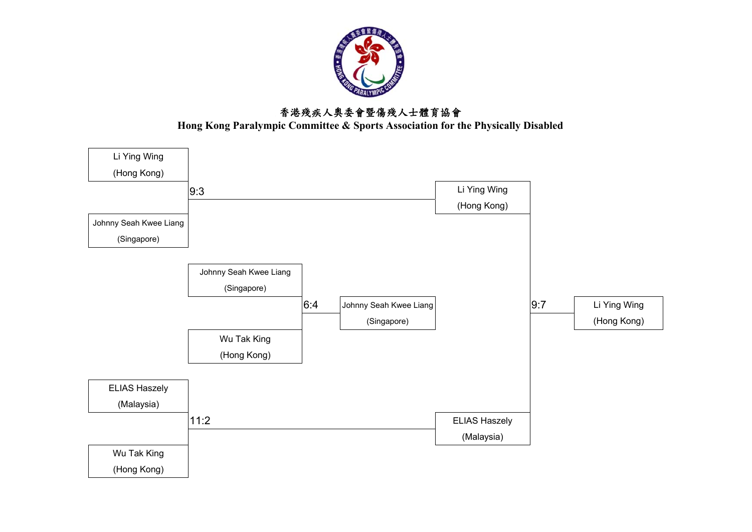

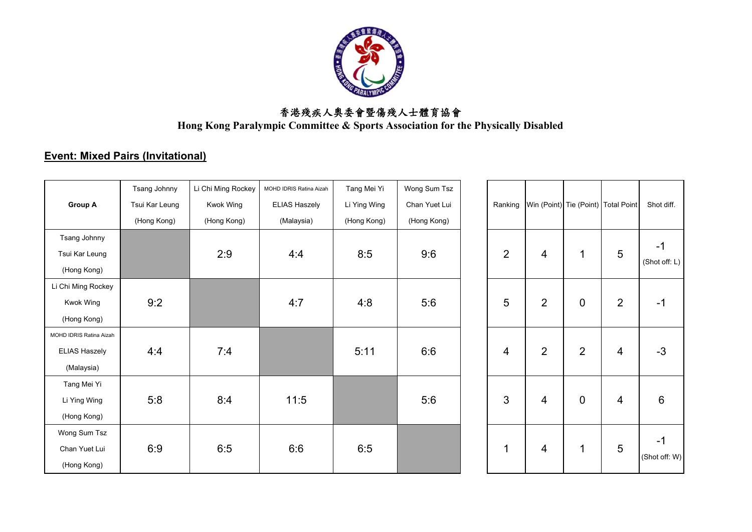

**Hong Kong Paralympic Committee & Sports Association for the Physically Disabled**

# **Event: Mixed Pairs (Invitational)**

|                         | Tsang Johnny   | Li Chi Ming Rockey | MOHD IDRIS Ratina Aizah | Tang Mei Yi  | Wong Sum Tsz  |                |                                     |                |                |           |
|-------------------------|----------------|--------------------|-------------------------|--------------|---------------|----------------|-------------------------------------|----------------|----------------|-----------|
| <b>Group A</b>          | Tsui Kar Leung | Kwok Wing          | <b>ELIAS Haszely</b>    | Li Ying Wing | Chan Yuet Lui | Ranking        | Win (Point) Tie (Point) Total Point |                |                | Shot di   |
|                         | (Hong Kong)    | (Hong Kong)        | (Malaysia)              | (Hong Kong)  | (Hong Kong)   |                |                                     |                |                |           |
| Tsang Johnny            |                |                    |                         |              |               |                |                                     |                |                | $-1$      |
| Tsui Kar Leung          |                | 2:9                | 4:4                     | 8:5          | 9:6           | $\overline{2}$ | 4                                   | 1              | 5              |           |
| (Hong Kong)             |                |                    |                         |              |               |                |                                     |                |                | (Shot of  |
| Li Chi Ming Rockey      |                |                    |                         |              |               |                |                                     |                |                |           |
| Kwok Wing               | 9:2            |                    | 4:7                     | 4:8          | 5:6           | 5              | $\overline{2}$                      | $\mathbf 0$    | $\overline{2}$ | $-1$      |
| (Hong Kong)             |                |                    |                         |              |               |                |                                     |                |                |           |
| MOHD IDRIS Ratina Aizah |                |                    |                         |              |               |                |                                     |                |                |           |
| <b>ELIAS Haszely</b>    | 4:4            | 7:4                |                         | 5:11         | 6:6           | 4              | $\overline{2}$                      | $\overline{2}$ | 4              | $-3$      |
| (Malaysia)              |                |                    |                         |              |               |                |                                     |                |                |           |
| Tang Mei Yi             |                |                    |                         |              |               |                |                                     |                |                |           |
| Li Ying Wing            | 5:8            | 8:4                | 11:5                    |              | 5:6           | $\mathfrak{S}$ | 4                                   | $\mathbf 0$    | $\overline{4}$ | 6         |
| (Hong Kong)             |                |                    |                         |              |               |                |                                     |                |                |           |
| Wong Sum Tsz            |                |                    |                         |              |               |                |                                     |                |                | $-1$      |
| Chan Yuet Lui           | 6:9            | 6:5                | 6:6                     | 6:5          |               | 1              | 4                                   | $\mathbf 1$    | 5              | (Shot off |
| (Hong Kong)             |                |                    |                         |              |               |                |                                     |                |                |           |

| Ranking        |                | Win (Point) Tie (Point) Total Point |                | Shot diff.          |  |
|----------------|----------------|-------------------------------------|----------------|---------------------|--|
| $\overline{2}$ | 4              | 1                                   | 5              | -1<br>(Shot off: L) |  |
| 5              | $\overline{2}$ | $\mathbf 0$                         | $\overline{2}$ | -1                  |  |
| 4              | $\overline{2}$ | $\overline{2}$                      | 4              | $-3$                |  |
| 3              | 4              | 0                                   | 4              | 6                   |  |
| 1              | 4              | 1                                   | 5              | -1<br>(Shot off: W) |  |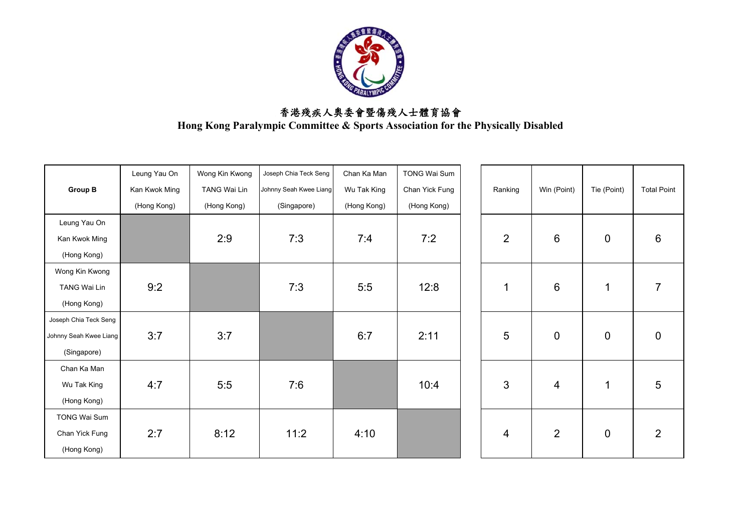

|                        | Leung Yau On  | Wong Kin Kwong      | Joseph Chia Teck Seng  | Chan Ka Man | <b>TONG Wai Sum</b> |                |                 |             |                    |
|------------------------|---------------|---------------------|------------------------|-------------|---------------------|----------------|-----------------|-------------|--------------------|
| <b>Group B</b>         | Kan Kwok Ming | <b>TANG Wai Lin</b> | Johnny Seah Kwee Liang | Wu Tak King | Chan Yick Fung      | Ranking        | Win (Point)     | Tie (Point) | <b>Total Point</b> |
|                        | (Hong Kong)   | (Hong Kong)         | (Singapore)            | (Hong Kong) | (Hong Kong)         |                |                 |             |                    |
| Leung Yau On           |               |                     |                        |             |                     |                |                 |             |                    |
| Kan Kwok Ming          |               | 2:9                 | 7:3                    | 7:4         | 7:2                 | $\overline{2}$ | 6               | $\mathbf 0$ | $\,6$              |
| (Hong Kong)            |               |                     |                        |             |                     |                |                 |             |                    |
| Wong Kin Kwong         |               |                     |                        |             |                     |                |                 |             |                    |
| <b>TANG Wai Lin</b>    | 9:2           |                     | 7:3                    | 5:5         | 12:8                |                | $6\phantom{1}6$ | $\mathbf 1$ | $\overline{7}$     |
| (Hong Kong)            |               |                     |                        |             |                     |                |                 |             |                    |
| Joseph Chia Teck Seng  |               |                     |                        |             |                     |                |                 |             |                    |
| Johnny Seah Kwee Liang | 3:7           | 3:7                 |                        | 6:7         | 2:11                | 5              | $\mathbf 0$     | $\mathbf 0$ | $\pmb{0}$          |
| (Singapore)            |               |                     |                        |             |                     |                |                 |             |                    |
| Chan Ka Man            |               |                     |                        |             |                     |                |                 |             |                    |
| Wu Tak King            | 4:7           | 5:5                 | 7:6                    |             | 10:4                | 3              | 4               | 1           | $5\phantom{.0}$    |
| (Hong Kong)            |               |                     |                        |             |                     |                |                 |             |                    |
| <b>TONG Wai Sum</b>    |               |                     |                        |             |                     |                |                 |             |                    |
| Chan Yick Fung         | 2:7           | 8:12                | 11:2                   | 4:10        |                     | 4              | $\overline{2}$  | $\mathbf 0$ | $\overline{2}$     |
| (Hong Kong)            |               |                     |                        |             |                     |                |                 |             |                    |